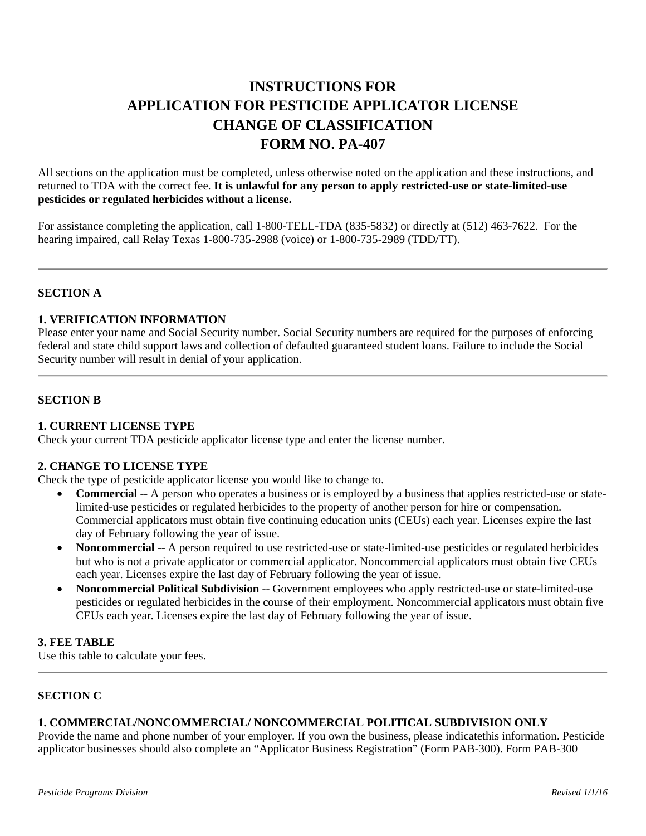# **INSTRUCTIONS FOR APPLICATION FOR PESTICIDE APPLICATOR LICENSE CHANGE OF CLASSIFICATION FORM NO. PA-407**

All sections on the application must be completed, unless otherwise noted on the application and these instructions, and returned to TDA with the correct fee. **It is unlawful for any person to apply restricted-use or state-limited-use pesticides or regulated herbicides without a license.**

For assistance completing the application, call 1-800-TELL-TDA (835-5832) or directly at (512) 463-7622. For the hearing impaired, call Relay Texas 1-800-735-2988 (voice) or 1-800-735-2989 (TDD/TT).

## **SECTION A**

## **1. VERIFICATION INFORMATION**

Please enter your name and Social Security number. Social Security numbers are required for the purposes of enforcing federal and state child support laws and collection of defaulted guaranteed student loans. Failure to include the Social Security number will result in denial of your application.

## **SECTION B**

# **1. CURRENT LICENSE TYPE**

Check your current TDA pesticide applicator license type and enter the license number.

## **2. CHANGE TO LICENSE TYPE**

Check the type of pesticide applicator license you would like to change to.

- **Commercial** -- A person who operates a business or is employed by a business that applies restricted-use or statelimited-use pesticides or regulated herbicides to the property of another person for hire or compensation. Commercial applicators must obtain five continuing education units (CEUs) each year. Licenses expire the last day of February following the year of issue.
- **Noncommercial** -- A person required to use restricted-use or state-limited-use pesticides or regulated herbicides but who is not a private applicator or commercial applicator. Noncommercial applicators must obtain five CEUs each year. Licenses expire the last day of February following the year of issue.
- **Noncommercial Political Subdivision** -- Government employees who apply restricted-use or state-limited-use pesticides or regulated herbicides in the course of their employment. Noncommercial applicators must obtain five CEUs each year. Licenses expire the last day of February following the year of issue.

## **3. FEE TABLE**

Use this table to calculate your fees.

# **SECTION C**

## **1. COMMERCIAL/NONCOMMERCIAL/ NONCOMMERCIAL POLITICAL SUBDIVISION ONLY**

Provide the name and phone number of your employer. If you own the business, please indicatethis information. Pesticide applicator businesses should also complete an "Applicator Business Registration" (Form PAB-300). Form PAB-300